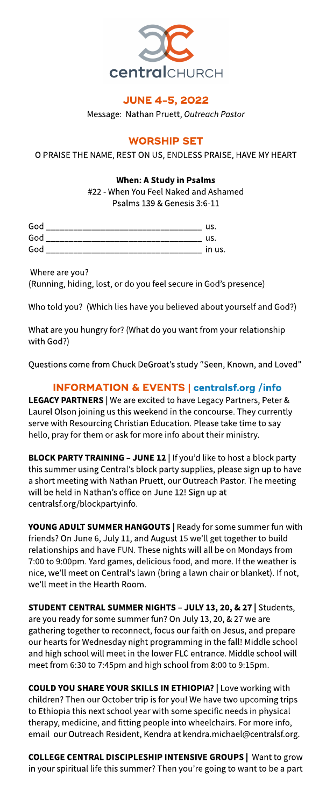

# **JUNE 4-5, 2022**

Message: Nathan Pruett, Outreach Pastor

# **WORSHIP SET**

O PRAISE THE NAME, REST ON US, ENDLESS PRAISE, HAVE MY HEART

## When: AStudy in Psalms

#22- When You Feel Naked and Ashamed Psalms 139 & Genesis 3:6-11

| God | us     |
|-----|--------|
| God | us     |
| God | in us. |

Where are you?

(Running, hiding, lost, or do you feel secure in God's presence)

Who told you? (Which lies have you believed about yourself and God?)

What are you hungry for?(What do you want from your relationship with God?)

Questions come from Chuck DeGroat's study "Seen, Known, and Loved"

# INFORMATION& EVENTS| **[centralsf.org/info](http://centralsf.org/info)**

LEGACY PARTNERS | We are excited to have Legacy Partners, Peter & Laurel Olson joining us this weekend in the concourse. They currently serve with Resourcing Christian Education. Please take time to say hello, pray for them or ask for more info about their ministry.

BLOCK PARTY TRAINING - JUNE 12 | If you'd like to host a block party this summer using Central's block party supplies, please sign up to have a short meeting with Nathan Pruett, our Outreach Pastor. The meeting will be held in Nathan's office on June 12! Sign up at centralsf.org/blockpartyinfo.

YOUNG ADULT SUMMER HANGOUTS | Ready for some summer fun with friends?On June 6, July 11, and August 15 we?ll get together to build relationships and have FUN. These nights will all be on Mondays from 7:00 to 9:00pm. Yard games, delicious food, and more. If theweather is nice, we?ll meet on Central'slawn (bring a lawn chair or blanket). If not, we'll meet in the Hearth Room.

STUDENT CENTRAL SUMMER NIGHTS - JULY 13, 20, & 27 | Students, are you ready for some summer fun?On July 13, 20, &27 we are gathering together to reconnect, focus our faith on Jesus, and prepare our hearts for Wednesday night programming in the fall! Middle school and high school will meet in the lower FLC entrance. Middle school will meet from 6:30 to 7:45pm and high school from 8:00 to 9:15pm.

COULD YOU SHARE YOUR SKILLS IN ETHIOPIA? | Love working with children? Then our October trip is for you! We have two upcoming trips to Ethiopia this next school year with some specific needs in physical therapy, medicine, and fitting people into wheelchairs. For more info, email our Outreach Resident, Kendra at kendra.michael@centralsf.org.

COLLEGE CENTRAL DISCIPLESHIP INTENSIVE GROUPS | Want to grow in your spiritual life this summer? Then you're going to want to be a part